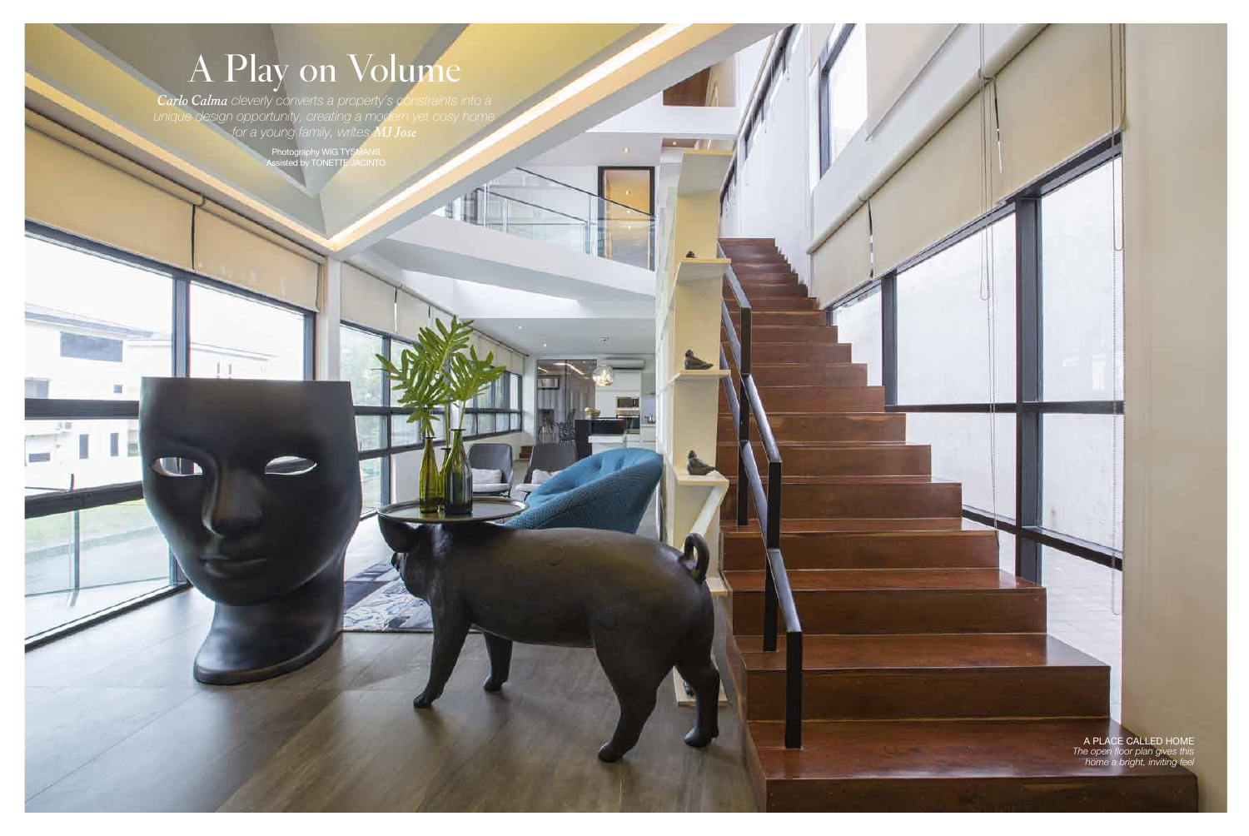LIFE | *homes* sundown splash

 $\mathcal{L} = \mathcal{L}$ 

*A 25-metre lap pool gleams invitingly in the* 

*Carlo Calma cleverly converts a property's constraints into a unique design opportunity, creating a modern yet cosy home for a young family, writes MJ Jose*

38

旧

Photography WIG TYSMANS Assisted by TONETTE JACINTO

philippine tatlet . 2 philippine tatlet . 2 philippine tatlet . 2 philippine tatlet . 2 philippine taxlet . 2 p

## A Play on Volume

a place called home *The open floor plan gives this home a bright, inviting feel*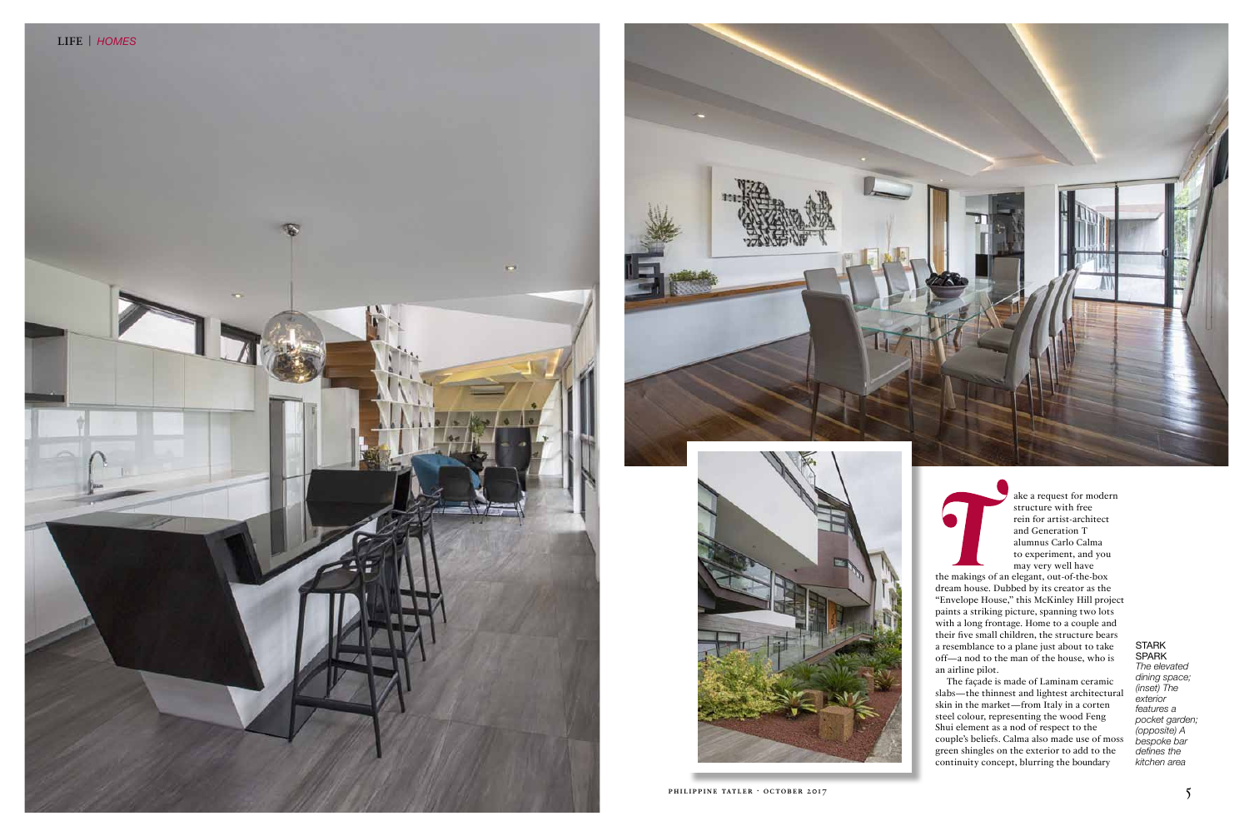





*The elevated dining space; (inset) The exterior features a pocket garden; (opposite) A bespoke bar defines the kitchen area*

ake a request for modern structure with free rein for artist-architect and Generation T alumnus Carlo Calma to experiment, and you may very well have

the makings of an elegant, out-of-the-box dream house. Dubbed by its creator as the "Envelope House," this McKinley Hill project paints a striking picture, spanning two lots with a long frontage. Home to a couple and their five small children, the structure bears a resemblance to a plane just about to take off—a nod to the man of the house, who is an airline pilot.

The façade is made of Laminam ceramic slabs—the thinnest and lightest architectural skin in the market—from Italy in a corten steel colour, representing the wood Feng Shui element as a nod of respect to the couple's beliefs. Calma also made use of moss green shingles on the exterior to add to the continuity concept, blurring the boundary

## **STARK SPARK**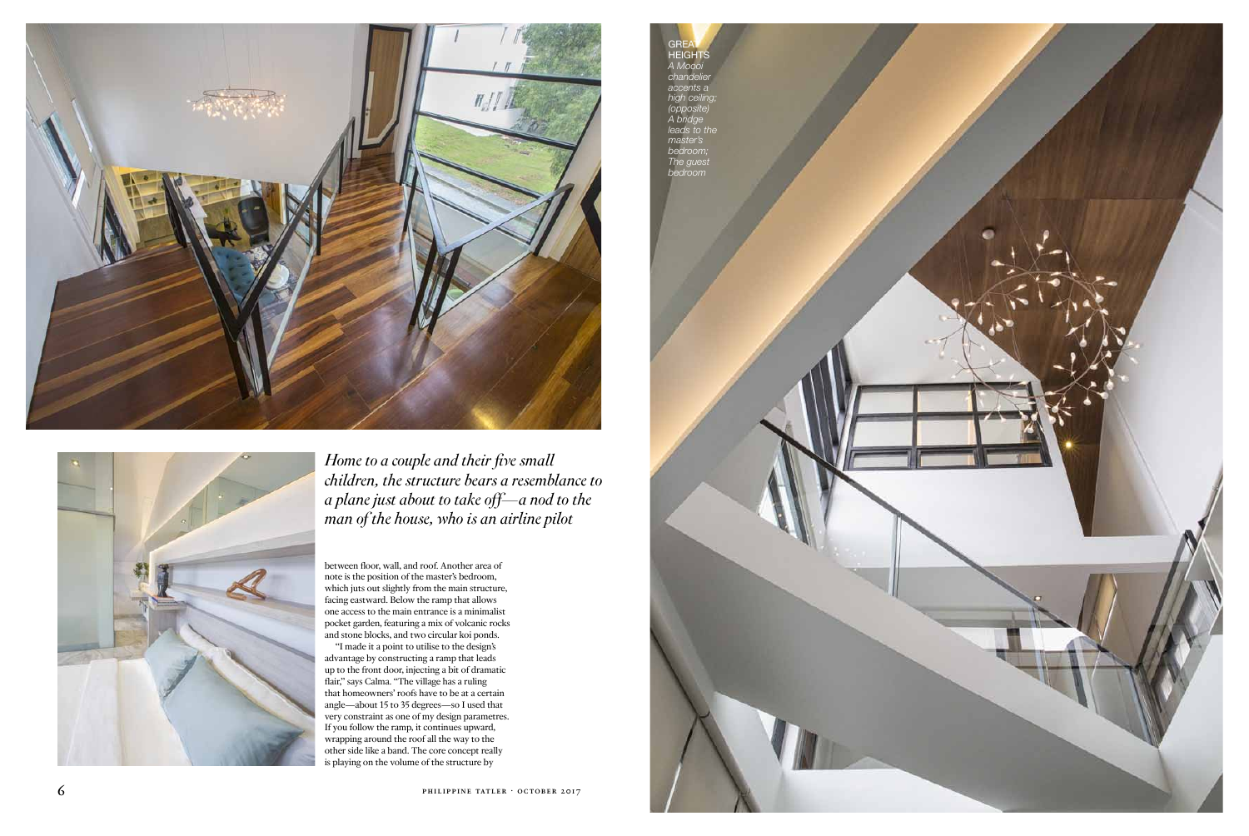between floor, wall, and roof. Another area of note is the position of the master's bedroom, which juts out slightly from the main structure, facing eastward. Below the ramp that allows one access to the main entrance is a minimalist pocket garden, featuring a mix of volcanic rocks and stone blocks, and two circular koi ponds.

**GREAT** heights *A Moooi chandelie accents a high ceiling; (opposite) A bridge leads to the master's bedroom; The guest bedroom*

philippine take the second contract of the second contract of the second contract of the second contract of the second contract of the second contract of the second contract of the second contract of the second contract of





"I made it a point to utilise to the design's advantage by constructing a ramp that leads up to the front door, injecting a bit of dramatic flair," says Calma. "The village has a ruling that homeowners' roofs have to be at a certain angle—about 15 to 35 degrees—so I used that very constraint as one of my design parametres. If you follow the ramp, it continues upward, wrapping around the roof all the way to the other side like a band. The core concept really is playing on the volume of the structure by





*Home to a couple and their five small children, the structure bears a resemblance to a plane just about to take off—a nod to the man of the house, who is an airline pilot*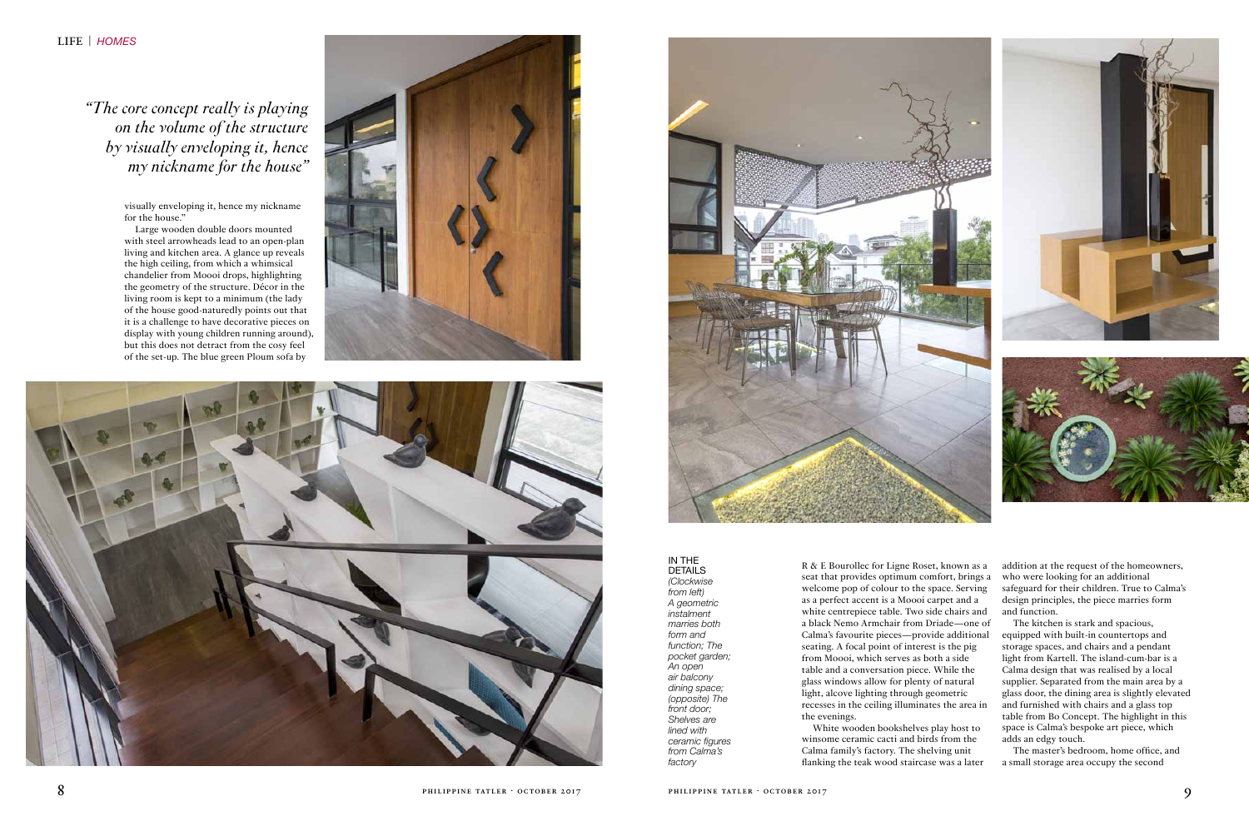in the **DETAILS** 

*(Clockwise from left) A geometric instalment marries both form and function; The pocket garden; An open air balcony dining space; (opposite) The front door; Shelves are lined with ceramic figures from Calma's factory*

addition at the request of the homeowners, who were looking for an additional safeguard for their children. True to Calma's design principles, the piece marries form and function.

The kitchen is stark and spacious, equipped with built-in countertops and storage spaces, and chairs and a pendant light from Kartell. The island-cum-bar is a Calma design that was realised by a local supplier. Separated from the main area by a glass door, the dining area is slightly elevated and furnished with chairs and a glass top table from Bo Concept. The highlight in this space is Calma's bespoke art piece, which adds an edgy touch.

The master's bedroom, home office, and a small storage area occupy the second

R & E Bourollec for Ligne Roset, known as a seat that provides optimum comfort, brings a welcome pop of colour to the space. Serving as a perfect accent is a Moooi carpet and a white centrepiece table. Two side chairs and a black Nemo Armchair from Driade—one of Calma's favourite pieces—provide additional seating. A focal point of interest is the pig from Moooi, which serves as both a side table and a conversation piece. While the glass windows allow for plenty of natural light, alcove lighting through geometric recesses in the ceiling illuminates the area in

the evenings.

White wooden bookshelves play host to winsome ceramic cacti and birds from the Calma family's factory. The shelving unit flanking the teak wood staircase was a later

visually enveloping it, hence my nickname for the house."

Large wooden double doors mounted with steel arrowheads lead to an open-plan living and kitchen area. A glance up reveals the high ceiling, from which a whimsical chandelier from Moooi drops, highlighting the geometry of the structure. Décor in the living room is kept to a minimum (the lady of the house good-naturedly points out that it is a challenge to have decorative pieces on display with young children running around), but this does not detract from the cosy feel of the set-up. The blue green Ploum sofa by







*"The core concept really is playing on the volume of the structure by visually enveloping it, hence my nickname for the house"*